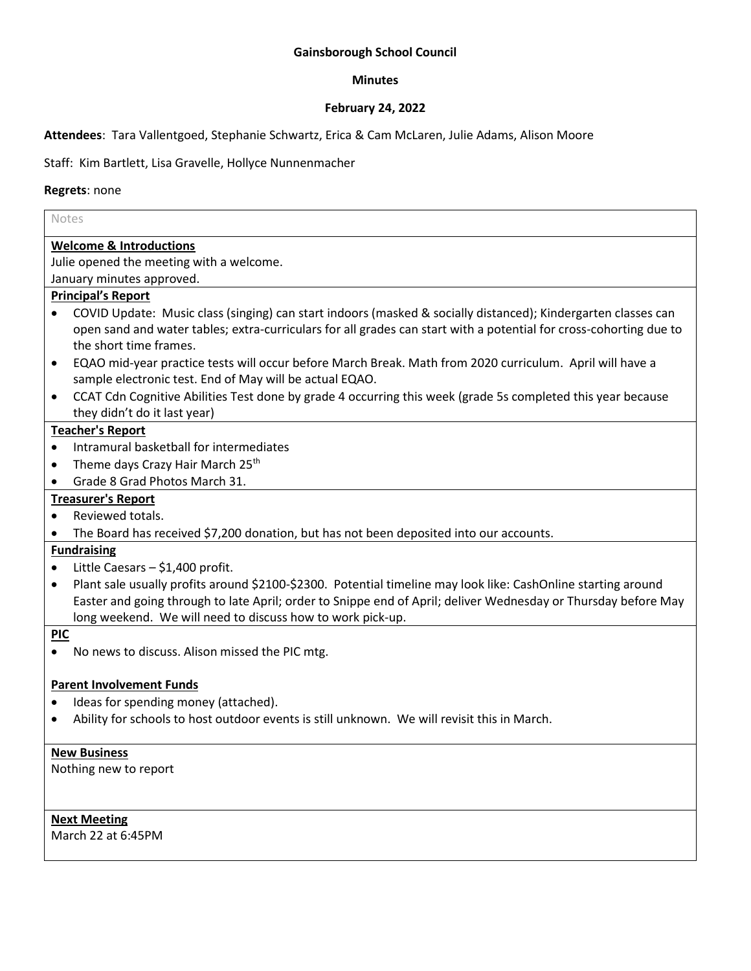### **Gainsborough School Council**

### **Minutes**

### **February 24, 2022**

**Attendees**: Tara Vallentgoed, Stephanie Schwartz, Erica & Cam McLaren, Julie Adams, Alison Moore

## Staff: Kim Bartlett, Lisa Gravelle, Hollyce Nunnenmacher

## **Regrets**: none

| Notes                                                                                                                      |  |
|----------------------------------------------------------------------------------------------------------------------------|--|
| <b>Welcome &amp; Introductions</b>                                                                                         |  |
| Julie opened the meeting with a welcome.                                                                                   |  |
| January minutes approved.                                                                                                  |  |
| <b>Principal's Report</b>                                                                                                  |  |
| COVID Update: Music class (singing) can start indoors (masked & socially distanced); Kindergarten classes can<br>$\bullet$ |  |
| open sand and water tables; extra-curriculars for all grades can start with a potential for cross-cohorting due to         |  |
| the short time frames.                                                                                                     |  |
| EQAO mid-year practice tests will occur before March Break. Math from 2020 curriculum. April will have a<br>$\bullet$      |  |
| sample electronic test. End of May will be actual EQAO.                                                                    |  |
| CCAT Cdn Cognitive Abilities Test done by grade 4 occurring this week (grade 5s completed this year because<br>$\bullet$   |  |
| they didn't do it last year)                                                                                               |  |
| <b>Teacher's Report</b>                                                                                                    |  |
| Intramural basketball for intermediates<br>$\bullet$                                                                       |  |
| Theme days Crazy Hair March 25th<br>$\bullet$                                                                              |  |
| Grade 8 Grad Photos March 31.                                                                                              |  |
| <b>Treasurer's Report</b>                                                                                                  |  |
| Reviewed totals.<br>$\bullet$                                                                                              |  |
| The Board has received \$7,200 donation, but has not been deposited into our accounts.                                     |  |
| <b>Fundraising</b>                                                                                                         |  |
| Little Caesars - \$1,400 profit.<br>$\bullet$                                                                              |  |
| Plant sale usually profits around \$2100-\$2300. Potential timeline may look like: CashOnline starting around<br>$\bullet$ |  |
| Easter and going through to late April; order to Snippe end of April; deliver Wednesday or Thursday before May             |  |
| long weekend. We will need to discuss how to work pick-up.                                                                 |  |
| <b>PIC</b>                                                                                                                 |  |
| No news to discuss. Alison missed the PIC mtg.<br>$\bullet$                                                                |  |
|                                                                                                                            |  |
| <b>Parent Involvement Funds</b>                                                                                            |  |
| Ideas for spending money (attached).<br>$\bullet$                                                                          |  |
| Ability for schools to host outdoor events is still unknown. We will revisit this in March.<br>٠                           |  |
|                                                                                                                            |  |
| <b>New Business</b>                                                                                                        |  |
| Nothing new to report                                                                                                      |  |
|                                                                                                                            |  |
|                                                                                                                            |  |
| <b>Next Meeting</b>                                                                                                        |  |
| March 22 at 6:45PM                                                                                                         |  |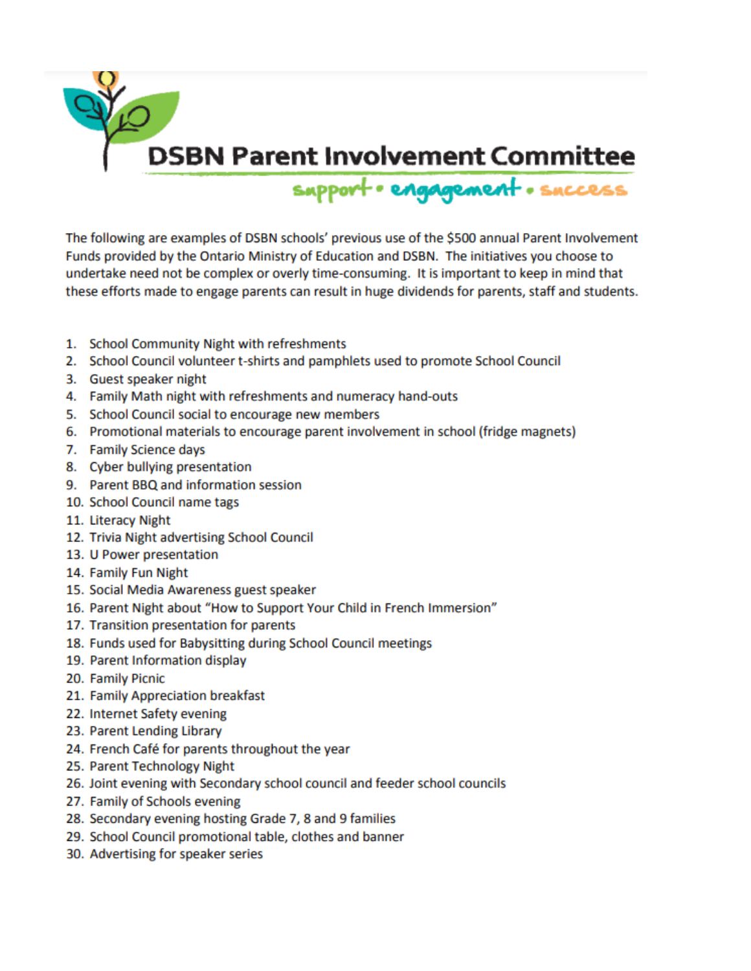

The following are examples of DSBN schools' previous use of the \$500 annual Parent Involvement Funds provided by the Ontario Ministry of Education and DSBN. The initiatives you choose to undertake need not be complex or overly time-consuming. It is important to keep in mind that these efforts made to engage parents can result in huge dividends for parents, staff and students.

- 1. School Community Night with refreshments
- 2. School Council volunteer t-shirts and pamphlets used to promote School Council
- 3. Guest speaker night
- 4. Family Math night with refreshments and numeracy hand-outs
- 5. School Council social to encourage new members
- 6. Promotional materials to encourage parent involvement in school (fridge magnets)
- 7. Family Science days
- 8. Cyber bullying presentation
- 9. Parent BBQ and information session
- 10. School Council name tags
- 11. Literacy Night
- 12. Trivia Night advertising School Council
- 13. U Power presentation
- 14. Family Fun Night
- 15. Social Media Awareness guest speaker
- 16. Parent Night about "How to Support Your Child in French Immersion"
- 17. Transition presentation for parents
- 18. Funds used for Babysitting during School Council meetings
- 19. Parent Information display
- 20. Family Picnic
- 21. Family Appreciation breakfast
- 22. Internet Safety evening
- 23. Parent Lending Library
- 24. French Café for parents throughout the year
- 25. Parent Technology Night
- 26. Joint evening with Secondary school council and feeder school councils
- 27. Family of Schools evening
- 28. Secondary evening hosting Grade 7, 8 and 9 families
- 29. School Council promotional table, clothes and banner
- 30. Advertising for speaker series